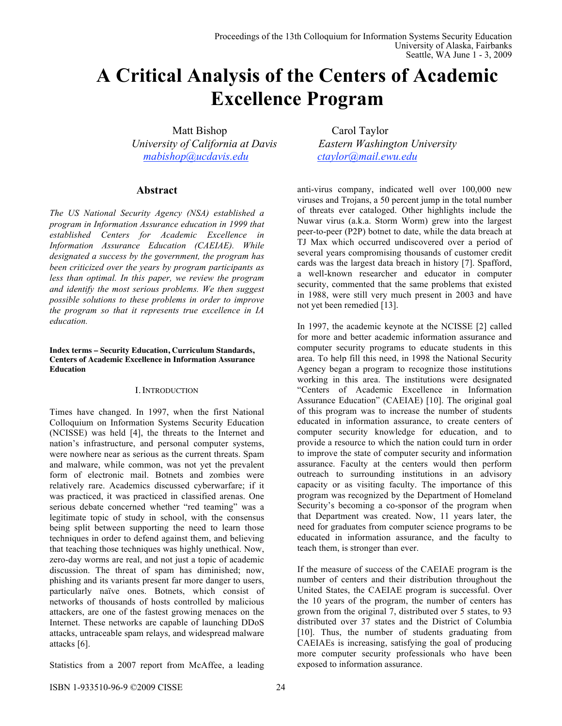# **A Critical Analysis of the Centers of Academic Excellence Program**

Matt Bishop Carol Taylor  *University of California at Davis Eastern Washington University mabishop@ucdavis.edu ctaylor@mail.ewu.edu*

# **Abstract**

*The US National Security Agency (NSA) established a program in Information Assurance education in 1999 that established Centers for Academic Excellence in Information Assurance Education (CAEIAE). While designated a success by the government, the program has been criticized over the years by program participants as less than optimal. In this paper, we review the program and identify the most serious problems. We then suggest possible solutions to these problems in order to improve the program so that it represents true excellence in IA education.*

#### **Index terms – Security Education, Curriculum Standards, Centers of Academic Excellence in Information Assurance Education**

### I. INTRODUCTION

Times have changed. In 1997, when the first National Colloquium on Information Systems Security Education (NCISSE) was held [4], the threats to the Internet and nation's infrastructure, and personal computer systems, were nowhere near as serious as the current threats. Spam and malware, while common, was not yet the prevalent form of electronic mail. Botnets and zombies were relatively rare. Academics discussed cyberwarfare; if it was practiced, it was practiced in classified arenas. One serious debate concerned whether "red teaming" was a legitimate topic of study in school, with the consensus being split between supporting the need to learn those techniques in order to defend against them, and believing that teaching those techniques was highly unethical. Now, zero-day worms are real, and not just a topic of academic discussion. The threat of spam has diminished; now, phishing and its variants present far more danger to users, particularly naïve ones. Botnets, which consist of networks of thousands of hosts controlled by malicious attackers, are one of the fastest growing menaces on the Internet. These networks are capable of launching DDoS attacks, untraceable spam relays, and widespread malware attacks [6].

Statistics from a 2007 report from McAffee, a leading

anti-virus company, indicated well over 100,000 new viruses and Trojans, a 50 percent jump in the total number of threats ever cataloged. Other highlights include the Nuwar virus (a.k.a. Storm Worm) grew into the largest peer-to-peer (P2P) botnet to date, while the data breach at TJ Max which occurred undiscovered over a period of several years compromising thousands of customer credit cards was the largest data breach in history [7]. Spafford, a well-known researcher and educator in computer security, commented that the same problems that existed in 1988, were still very much present in 2003 and have not yet been remedied [13].

In 1997, the academic keynote at the NCISSE [2] called for more and better academic information assurance and computer security programs to educate students in this area. To help fill this need, in 1998 the National Security Agency began a program to recognize those institutions working in this area. The institutions were designated "Centers of Academic Excellence in Information Assurance Education" (CAEIAE) [10]. The original goal of this program was to increase the number of students educated in information assurance, to create centers of computer security knowledge for education, and to provide a resource to which the nation could turn in order to improve the state of computer security and information assurance. Faculty at the centers would then perform outreach to surrounding institutions in an advisory capacity or as visiting faculty. The importance of this program was recognized by the Department of Homeland Security's becoming a co-sponsor of the program when that Department was created. Now, 11 years later, the need for graduates from computer science programs to be educated in information assurance, and the faculty to teach them, is stronger than ever.

If the measure of success of the CAEIAE program is the number of centers and their distribution throughout the United States, the CAEIAE program is successful. Over the 10 years of the program, the number of centers has grown from the original 7, distributed over 5 states, to 93 distributed over 37 states and the District of Columbia [10]. Thus, the number of students graduating from CAEIAEs is increasing, satisfying the goal of producing more computer security professionals who have been exposed to information assurance.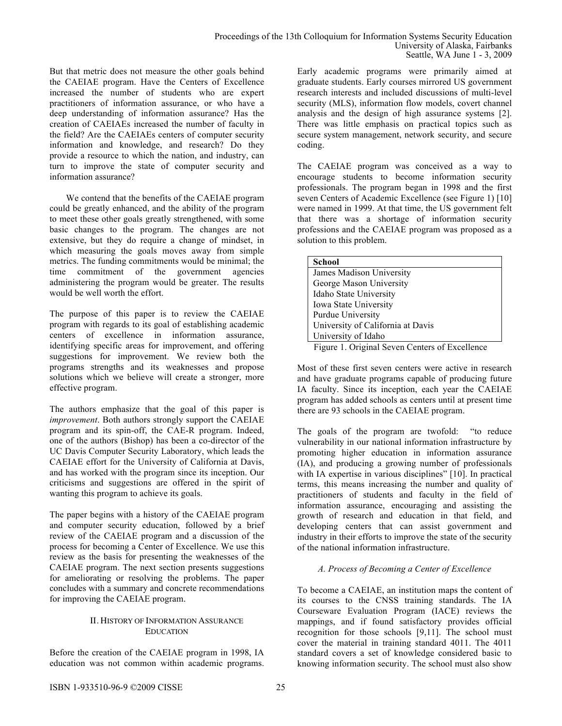But that metric does not measure the other goals behind the CAEIAE program. Have the Centers of Excellence increased the number of students who are expert practitioners of information assurance, or who have a deep understanding of information assurance? Has the creation of CAEIAEs increased the number of faculty in the field? Are the CAEIAEs centers of computer security information and knowledge, and research? Do they provide a resource to which the nation, and industry, can turn to improve the state of computer security and information assurance?

We contend that the benefits of the CAEIAE program could be greatly enhanced, and the ability of the program to meet these other goals greatly strengthened, with some basic changes to the program. The changes are not extensive, but they do require a change of mindset, in which measuring the goals moves away from simple metrics. The funding commitments would be minimal; the time commitment of the government agencies administering the program would be greater. The results would be well worth the effort.

The purpose of this paper is to review the CAEIAE program with regards to its goal of establishing academic centers of excellence in information assurance, identifying specific areas for improvement, and offering suggestions for improvement. We review both the programs strengths and its weaknesses and propose solutions which we believe will create a stronger, more effective program.

The authors emphasize that the goal of this paper is *improvement*. Both authors strongly support the CAEIAE program and its spin-off, the CAE-R program. Indeed, one of the authors (Bishop) has been a co-director of the UC Davis Computer Security Laboratory, which leads the CAEIAE effort for the University of California at Davis, and has worked with the program since its inception. Our criticisms and suggestions are offered in the spirit of wanting this program to achieve its goals.

The paper begins with a history of the CAEIAE program and computer security education, followed by a brief review of the CAEIAE program and a discussion of the process for becoming a Center of Excellence. We use this review as the basis for presenting the weaknesses of the CAEIAE program. The next section presents suggestions for ameliorating or resolving the problems. The paper concludes with a summary and concrete recommendations for improving the CAEIAE program.

# II. HISTORY OF INFORMATION ASSURANCE EDUCATION

Before the creation of the CAEIAE program in 1998, IA education was not common within academic programs. Early academic programs were primarily aimed at graduate students. Early courses mirrored US government research interests and included discussions of multi-level security (MLS), information flow models, covert channel analysis and the design of high assurance systems [2]. There was little emphasis on practical topics such as secure system management, network security, and secure coding.

The CAEIAE program was conceived as a way to encourage students to become information security professionals. The program began in 1998 and the first seven Centers of Academic Excellence (see Figure 1) [10] were named in 1999. At that time, the US government felt that there was a shortage of information security professions and the CAEIAE program was proposed as a solution to this problem.

| <b>School</b>                                          |
|--------------------------------------------------------|
| James Madison University                               |
| George Mason University                                |
| Idaho State University                                 |
| Iowa State University                                  |
| Purdue University                                      |
| University of California at Davis                      |
| University of Idaho                                    |
| $\Gamma$ inna 1. Onisiaal Rassa Centena af Essaillanas |

Figure 1. Original Seven Centers of Excellence

Most of these first seven centers were active in research and have graduate programs capable of producing future IA faculty. Since its inception, each year the CAEIAE program has added schools as centers until at present time there are 93 schools in the CAEIAE program.

The goals of the program are twofold: "to reduce vulnerability in our national information infrastructure by promoting higher education in information assurance (IA), and producing a growing number of professionals with IA expertise in various disciplines" [10]. In practical terms, this means increasing the number and quality of practitioners of students and faculty in the field of information assurance, encouraging and assisting the growth of research and education in that field, and developing centers that can assist government and industry in their efforts to improve the state of the security of the national information infrastructure.

# *A. Process of Becoming a Center of Excellence*

To become a CAEIAE, an institution maps the content of its courses to the CNSS training standards. The IA Courseware Evaluation Program (IACE) reviews the mappings, and if found satisfactory provides official recognition for those schools [9,11]. The school must cover the material in training standard 4011. The 4011 standard covers a set of knowledge considered basic to knowing information security. The school must also show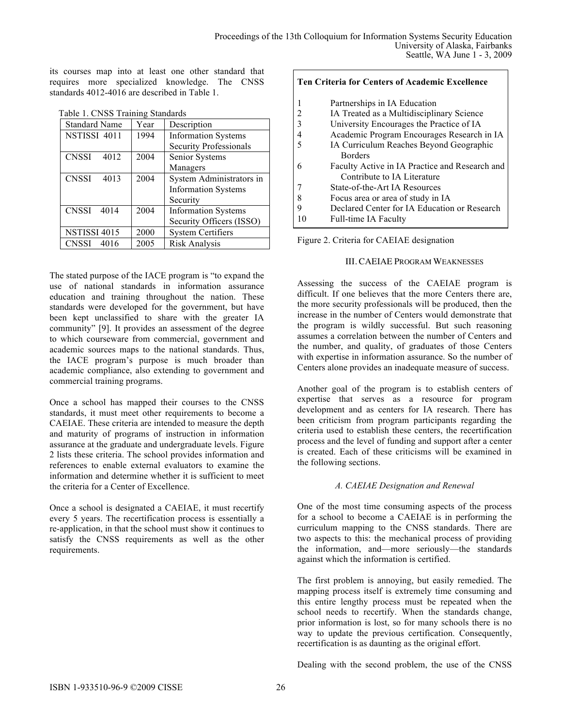its courses map into at least one other standard that requires more specialized knowledge. The CNSS standards 4012-4016 are described in Table 1.

| Table T. UNSS Training Standards |      |                               |  |  |
|----------------------------------|------|-------------------------------|--|--|
| <b>Standard Name</b>             | Year | Description                   |  |  |
| NSTISSI 4011                     | 1994 | <b>Information Systems</b>    |  |  |
|                                  |      | <b>Security Professionals</b> |  |  |
| <b>CNSSI</b><br>4012             | 2004 | Senior Systems                |  |  |
|                                  |      | Managers                      |  |  |
| <b>CNSSI</b><br>4013             | 2004 | System Administrators in      |  |  |
|                                  |      | <b>Information Systems</b>    |  |  |
|                                  |      | Security                      |  |  |
| CNSSI<br>4014                    | 2004 | <b>Information Systems</b>    |  |  |
|                                  |      | Security Officers (ISSO)      |  |  |
| NSTISSI 4015                     | 2000 | <b>System Certifiers</b>      |  |  |
| <b>CNSSI</b><br>4016             | 2005 | Risk Analysis                 |  |  |

|  |  | Table 1. CNSS Training Standards |  |
|--|--|----------------------------------|--|
|--|--|----------------------------------|--|

The stated purpose of the IACE program is "to expand the use of national standards in information assurance education and training throughout the nation. These standards were developed for the government, but have been kept unclassified to share with the greater IA community" [9]. It provides an assessment of the degree to which courseware from commercial, government and academic sources maps to the national standards. Thus, the IACE program's purpose is much broader than academic compliance, also extending to government and commercial training programs.

Once a school has mapped their courses to the CNSS standards, it must meet other requirements to become a CAEIAE. These criteria are intended to measure the depth and maturity of programs of instruction in information assurance at the graduate and undergraduate levels. Figure 2 lists these criteria. The school provides information and references to enable external evaluators to examine the information and determine whether it is sufficient to meet the criteria for a Center of Excellence.

Once a school is designated a CAEIAE, it must recertify every 5 years. The recertification process is essentially a re-application, in that the school must show it continues to satisfy the CNSS requirements as well as the other requirements.

| Ten Criteria for Centers of Academic Excellence |                                                                               |  |
|-------------------------------------------------|-------------------------------------------------------------------------------|--|
| 1                                               | Partnerships in IA Education                                                  |  |
| 2                                               | IA Treated as a Multidisciplinary Science                                     |  |
| 3                                               | University Encourages the Practice of IA                                      |  |
| 4                                               | Academic Program Encourages Research in IA                                    |  |
|                                                 | IA Curriculum Reaches Beyond Geographic<br><b>Borders</b>                     |  |
| 6                                               | Faculty Active in IA Practice and Research and<br>Contribute to IA Literature |  |
|                                                 | State-of-the-Art IA Resources                                                 |  |
| 8                                               | Focus area or area of study in IA                                             |  |
| Q                                               | Declared Center for IA Education or Research                                  |  |
| 10                                              | Full-time IA Faculty                                                          |  |

Figure 2. Criteria for CAEIAE designation

#### III. CAEIAE PROGRAM WEAKNESSES

Assessing the success of the CAEIAE program is difficult. If one believes that the more Centers there are, the more security professionals will be produced, then the increase in the number of Centers would demonstrate that the program is wildly successful. But such reasoning assumes a correlation between the number of Centers and the number, and quality, of graduates of those Centers with expertise in information assurance. So the number of Centers alone provides an inadequate measure of success.

Another goal of the program is to establish centers of expertise that serves as a resource for program development and as centers for IA research. There has been criticism from program participants regarding the criteria used to establish these centers, the recertification process and the level of funding and support after a center is created. Each of these criticisms will be examined in the following sections.

### *A. CAEIAE Designation and Renewal*

One of the most time consuming aspects of the process for a school to become a CAEIAE is in performing the curriculum mapping to the CNSS standards. There are two aspects to this: the mechanical process of providing the information, and—more seriously—the standards against which the information is certified.

The first problem is annoying, but easily remedied. The mapping process itself is extremely time consuming and this entire lengthy process must be repeated when the school needs to recertify. When the standards change, prior information is lost, so for many schools there is no way to update the previous certification. Consequently, recertification is as daunting as the original effort.

Dealing with the second problem, the use of the CNSS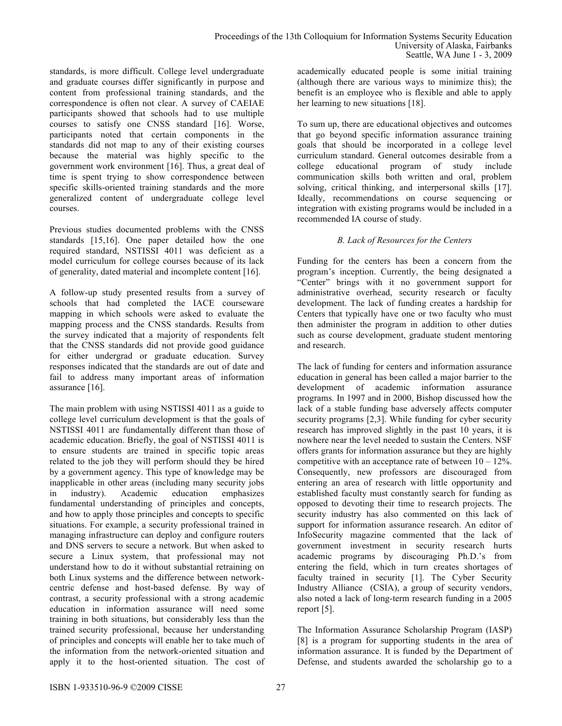standards, is more difficult. College level undergraduate and graduate courses differ significantly in purpose and content from professional training standards, and the correspondence is often not clear. A survey of CAEIAE participants showed that schools had to use multiple courses to satisfy one CNSS standard [16]. Worse, participants noted that certain components in the standards did not map to any of their existing courses because the material was highly specific to the government work environment [16]. Thus, a great deal of time is spent trying to show correspondence between specific skills-oriented training standards and the more generalized content of undergraduate college level courses.

Previous studies documented problems with the CNSS standards [15,16]. One paper detailed how the one required standard, NSTISSI 4011 was deficient as a model curriculum for college courses because of its lack of generality, dated material and incomplete content [16].

A follow-up study presented results from a survey of schools that had completed the IACE courseware mapping in which schools were asked to evaluate the mapping process and the CNSS standards. Results from the survey indicated that a majority of respondents felt that the CNSS standards did not provide good guidance for either undergrad or graduate education. Survey responses indicated that the standards are out of date and fail to address many important areas of information assurance [16].

The main problem with using NSTISSI 4011 as a guide to college level curriculum development is that the goals of NSTISSI 4011 are fundamentally different than those of academic education. Briefly, the goal of NSTISSI 4011 is to ensure students are trained in specific topic areas related to the job they will perform should they be hired by a government agency. This type of knowledge may be inapplicable in other areas (including many security jobs in industry). Academic education emphasizes fundamental understanding of principles and concepts, and how to apply those principles and concepts to specific situations. For example, a security professional trained in managing infrastructure can deploy and configure routers and DNS servers to secure a network. But when asked to secure a Linux system, that professional may not understand how to do it without substantial retraining on both Linux systems and the difference between networkcentric defense and host-based defense. By way of contrast, a security professional with a strong academic education in information assurance will need some training in both situations, but considerably less than the trained security professional, because her understanding of principles and concepts will enable her to take much of the information from the network-oriented situation and apply it to the host-oriented situation. The cost of

academically educated people is some initial training (although there are various ways to minimize this); the benefit is an employee who is flexible and able to apply her learning to new situations [18].

To sum up, there are educational objectives and outcomes that go beyond specific information assurance training goals that should be incorporated in a college level curriculum standard. General outcomes desirable from a college educational program of study include communication skills both written and oral, problem solving, critical thinking, and interpersonal skills [17]. Ideally, recommendations on course sequencing or integration with existing programs would be included in a recommended IA course of study.

# *B. Lack of Resources for the Centers*

Funding for the centers has been a concern from the program's inception. Currently, the being designated a "Center" brings with it no government support for administrative overhead, security research or faculty development. The lack of funding creates a hardship for Centers that typically have one or two faculty who must then administer the program in addition to other duties such as course development, graduate student mentoring and research.

The lack of funding for centers and information assurance education in general has been called a major barrier to the development of academic information assurance programs. In 1997 and in 2000, Bishop discussed how the lack of a stable funding base adversely affects computer security programs [2,3]. While funding for cyber security research has improved slightly in the past 10 years, it is nowhere near the level needed to sustain the Centers. NSF offers grants for information assurance but they are highly competitive with an acceptance rate of between  $10 - 12\%$ . Consequently, new professors are discouraged from entering an area of research with little opportunity and established faculty must constantly search for funding as opposed to devoting their time to research projects. The security industry has also commented on this lack of support for information assurance research. An editor of InfoSecurity magazine commented that the lack of government investment in security research hurts academic programs by discouraging Ph.D.'s from entering the field, which in turn creates shortages of faculty trained in security [1]. The Cyber Security Industry Alliance (CSIA), a group of security vendors, also noted a lack of long-term research funding in a 2005 report [5].

The Information Assurance Scholarship Program (IASP) [8] is a program for supporting students in the area of information assurance. It is funded by the Department of Defense, and students awarded the scholarship go to a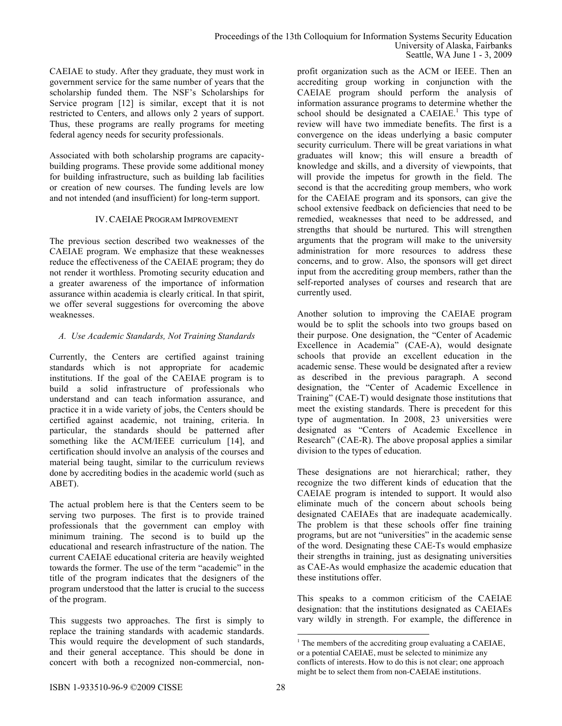CAEIAE to study. After they graduate, they must work in government service for the same number of years that the scholarship funded them. The NSF's Scholarships for Service program [12] is similar, except that it is not restricted to Centers, and allows only 2 years of support. Thus, these programs are really programs for meeting federal agency needs for security professionals.

Associated with both scholarship programs are capacitybuilding programs. These provide some additional money for building infrastructure, such as building lab facilities or creation of new courses. The funding levels are low and not intended (and insufficient) for long-term support.

#### IV. CAEIAE PROGRAM IMPROVEMENT

The previous section described two weaknesses of the CAEIAE program. We emphasize that these weaknesses reduce the effectiveness of the CAEIAE program; they do not render it worthless. Promoting security education and a greater awareness of the importance of information assurance within academia is clearly critical. In that spirit, we offer several suggestions for overcoming the above weaknesses.

#### *A. Use Academic Standards, Not Training Standards*

Currently, the Centers are certified against training standards which is not appropriate for academic institutions. If the goal of the CAEIAE program is to build a solid infrastructure of professionals who understand and can teach information assurance, and practice it in a wide variety of jobs, the Centers should be certified against academic, not training, criteria. In particular, the standards should be patterned after something like the ACM/IEEE curriculum [14], and certification should involve an analysis of the courses and material being taught, similar to the curriculum reviews done by accrediting bodies in the academic world (such as ABET).

The actual problem here is that the Centers seem to be serving two purposes. The first is to provide trained professionals that the government can employ with minimum training. The second is to build up the educational and research infrastructure of the nation. The current CAEIAE educational criteria are heavily weighted towards the former. The use of the term "academic" in the title of the program indicates that the designers of the program understood that the latter is crucial to the success of the program.

This suggests two approaches. The first is simply to replace the training standards with academic standards. This would require the development of such standards, and their general acceptance. This should be done in concert with both a recognized non-commercial, nonprofit organization such as the ACM or IEEE. Then an accrediting group working in conjunction with the CAEIAE program should perform the analysis of information assurance programs to determine whether the school should be designated a  $CAEIAE$ .<sup>1</sup> This type of review will have two immediate benefits. The first is a convergence on the ideas underlying a basic computer security curriculum. There will be great variations in what graduates will know; this will ensure a breadth of knowledge and skills, and a diversity of viewpoints, that will provide the impetus for growth in the field. The second is that the accrediting group members, who work for the CAEIAE program and its sponsors, can give the school extensive feedback on deficiencies that need to be remedied, weaknesses that need to be addressed, and strengths that should be nurtured. This will strengthen arguments that the program will make to the university administration for more resources to address these concerns, and to grow. Also, the sponsors will get direct input from the accrediting group members, rather than the self-reported analyses of courses and research that are currently used.

Another solution to improving the CAEIAE program would be to split the schools into two groups based on their purpose. One designation, the "Center of Academic Excellence in Academia" (CAE-A), would designate schools that provide an excellent education in the academic sense. These would be designated after a review as described in the previous paragraph. A second designation, the "Center of Academic Excellence in Training" (CAE-T) would designate those institutions that meet the existing standards. There is precedent for this type of augmentation. In 2008, 23 universities were designated as "Centers of Academic Excellence in Research" (CAE-R). The above proposal applies a similar division to the types of education.

These designations are not hierarchical; rather, they recognize the two different kinds of education that the CAEIAE program is intended to support. It would also eliminate much of the concern about schools being designated CAEIAEs that are inadequate academically. The problem is that these schools offer fine training programs, but are not "universities" in the academic sense of the word. Designating these CAE-Ts would emphasize their strengths in training, just as designating universities as CAE-As would emphasize the academic education that these institutions offer.

This speaks to a common criticism of the CAEIAE designation: that the institutions designated as CAEIAEs vary wildly in strength. For example, the difference in

<sup>|&</sup>lt;br>|<br>|  $1$  The members of the accrediting group evaluating a CAEIAE, or a potential CAEIAE, must be selected to minimize any conflicts of interests. How to do this is not clear; one approach might be to select them from non-CAEIAE institutions.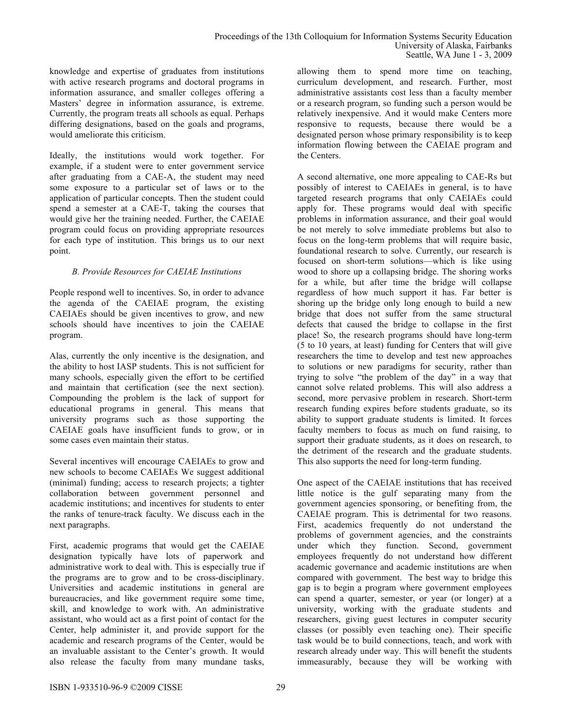knowledge and expertise of graduates from institutions with active research programs and doctoral programs in information assurance, and smaller colleges offering a Masters' degree in information assurance, is extreme. Currently, the program treats all schools as equal. Perhaps differing designations, based on the goals and programs, would ameliorate this criticism.

Ideally, the institutions would work together. For example, if a student were to enter government service after graduating from a CAE-A, the student may need some exposure to a particular set of laws or to the application of particular concepts. Then the student could spend a semester at a CAE-T, taking the courses that would give her the training needed. Further, the CAEIAE program could focus on providing appropriate resources for each type of institution. This brings us to our next point.

# *B. Provide Resources for CAEIAE Institutions*

People respond well to incentives. So, in order to advance the agenda of the CAEIAE program, the existing CAEIAEs should be given incentives to grow, and new schools should have incentives to join the CAEIAE program.

Alas, currently the only incentive is the designation, and the ability to host IASP students. This is not sufficient for many schools, especially given the effort to be certified and maintain that certification (see the next section). Compounding the problem is the lack of support for educational programs in general. This means that university programs such as those supporting the CAEIAE goals have insufficient funds to grow, or in some cases even maintain their status.

Several incentives will encourage CAEIAEs to grow and new schools to become CAEIAEs We suggest additional (minimal) funding; access to research projects; a tighter collaboration between government personnel and academic institutions; and incentives for students to enter the ranks of tenure-track faculty. We discuss each in the next paragraphs.

First, academic programs that would get the CAEIAE designation typically have lots of paperwork and administrative work to deal with. This is especially true if the programs are to grow and to be cross-disciplinary. Universities and academic institutions in general are bureaucracies, and like government require some time, skill, and knowledge to work with. An administrative assistant, who would act as a first point of contact for the Center, help administer it, and provide support for the academic and research programs of the Center, would be an invaluable assistant to the Center's growth. It would also release the faculty from many mundane tasks,

allowing them to spend more time on teaching, curriculum development, and research. Further, most administrative assistants cost less than a faculty member or a research program, so funding such a person would be relatively inexpensive. And it would make Centers more responsive to requests, because there would be a designated person whose primary responsibility is to keep information flowing between the CAEIAE program and the Centers.

A second alternative, one more appealing to CAE-Rs but possibly of interest to CAEIAEs in general, is to have targeted research programs that only CAEIAEs could apply for. These programs would deal with specific problems in information assurance, and their goal would be not merely to solve immediate problems but also to focus on the long-term problems that will require basic, foundational research to solve. Currently, our research is focused on short-term solutions—which is like using wood to shore up a collapsing bridge. The shoring works for a while, but after time the bridge will collapse regardless of how much support it has. Far better is shoring up the bridge only long enough to build a new bridge that does not suffer from the same structural defects that caused the bridge to collapse in the first place! So, the research programs should have long-term (5 to 10 years, at least) funding for Centers that will give researchers the time to develop and test new approaches to solutions or new paradigms for security, rather than trying to solve "the problem of the day" in a way that cannot solve related problems. This will also address a second, more pervasive problem in research. Short-term research funding expires before students graduate, so its ability to support graduate students is limited. It forces faculty members to focus as much on fund raising, to support their graduate students, as it does on research, to the detriment of the research and the graduate students. This also supports the need for long-term funding.

One aspect of the CAEIAE institutions that has received little notice is the gulf separating many from the government agencies sponsoring, or benefiting from, the CAEIAE program. This is detrimental for two reasons. First, academics frequently do not understand the problems of government agencies, and the constraints under which they function. Second, government employees frequently do not understand how different academic governance and academic institutions are when compared with government. The best way to bridge this gap is to begin a program where government employees can spend a quarter, semester, or year (or longer) at a university, working with the graduate students and researchers, giving guest lectures in computer security classes (or possibly even teaching one). Their specific task would be to build connections, teach, and work with research already under way. This will benefit the students immeasurably, because they will be working with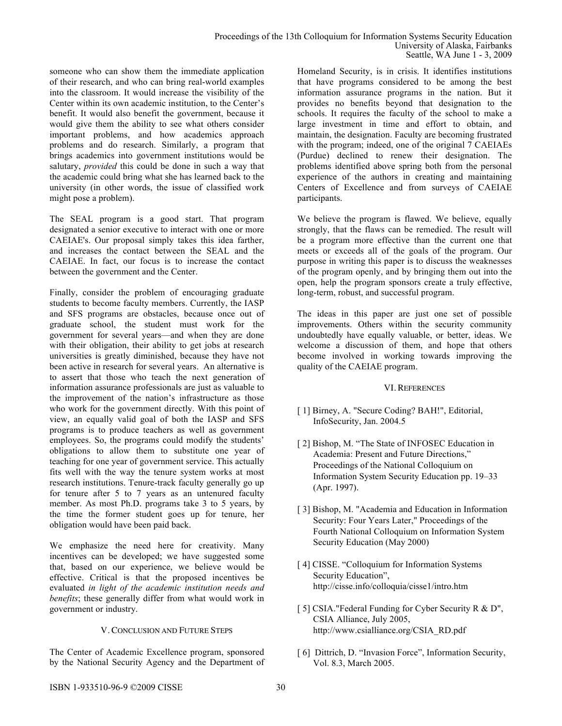someone who can show them the immediate application of their research, and who can bring real-world examples into the classroom. It would increase the visibility of the Center within its own academic institution, to the Center's benefit. It would also benefit the government, because it would give them the ability to see what others consider important problems, and how academics approach problems and do research. Similarly, a program that brings academics into government institutions would be salutary, *provided* this could be done in such a way that the academic could bring what she has learned back to the university (in other words, the issue of classified work might pose a problem).

The SEAL program is a good start. That program designated a senior executive to interact with one or more CAEIAE's. Our proposal simply takes this idea farther, and increases the contact between the SEAL and the CAEIAE. In fact, our focus is to increase the contact between the government and the Center.

Finally, consider the problem of encouraging graduate students to become faculty members. Currently, the IASP and SFS programs are obstacles, because once out of graduate school, the student must work for the government for several years—and when they are done with their obligation, their ability to get jobs at research universities is greatly diminished, because they have not been active in research for several years. An alternative is to assert that those who teach the next generation of information assurance professionals are just as valuable to the improvement of the nation's infrastructure as those who work for the government directly. With this point of view, an equally valid goal of both the IASP and SFS programs is to produce teachers as well as government employees. So, the programs could modify the students' obligations to allow them to substitute one year of teaching for one year of government service. This actually fits well with the way the tenure system works at most research institutions. Tenure-track faculty generally go up for tenure after 5 to 7 years as an untenured faculty member. As most Ph.D. programs take 3 to 5 years, by the time the former student goes up for tenure, her obligation would have been paid back.

We emphasize the need here for creativity. Many incentives can be developed; we have suggested some that, based on our experience, we believe would be effective. Critical is that the proposed incentives be evaluated *in light of the academic institution needs and benefits*; these generally differ from what would work in government or industry.

### V. CONCLUSION AND FUTURE STEPS

The Center of Academic Excellence program, sponsored by the National Security Agency and the Department of Homeland Security, is in crisis. It identifies institutions that have programs considered to be among the best information assurance programs in the nation. But it provides no benefits beyond that designation to the schools. It requires the faculty of the school to make a large investment in time and effort to obtain, and maintain, the designation. Faculty are becoming frustrated with the program; indeed, one of the original 7 CAEIAEs (Purdue) declined to renew their designation. The problems identified above spring both from the personal experience of the authors in creating and maintaining Centers of Excellence and from surveys of CAEIAE participants.

We believe the program is flawed. We believe, equally strongly, that the flaws can be remedied. The result will be a program more effective than the current one that meets or exceeds all of the goals of the program. Our purpose in writing this paper is to discuss the weaknesses of the program openly, and by bringing them out into the open, help the program sponsors create a truly effective, long-term, robust, and successful program.

The ideas in this paper are just one set of possible improvements. Others within the security community undoubtedly have equally valuable, or better, ideas. We welcome a discussion of them, and hope that others become involved in working towards improving the quality of the CAEIAE program.

### VI. REFERENCES

- [ 1] Birney, A. "Secure Coding? BAH!", Editorial, InfoSecurity, Jan. 2004.5
- [ 2] Bishop, M. "The State of INFOSEC Education in Academia: Present and Future Directions," Proceedings of the National Colloquium on Information System Security Education pp. 19–33 (Apr. 1997).
- [ 3] Bishop, M. "Academia and Education in Information Security: Four Years Later," Proceedings of the Fourth National Colloquium on Information System Security Education (May 2000)
- [ 4] CISSE. "Colloquium for Information Systems Security Education", http://cisse.info/colloquia/cisse1/intro.htm
- [ 5] CSIA."Federal Funding for Cyber Security R & D", CSIA Alliance, July 2005, http://www.csialliance.org/CSIA\_RD.pdf
- [ 6] Dittrich, D. "Invasion Force", Information Security, Vol. 8.3, March 2005.